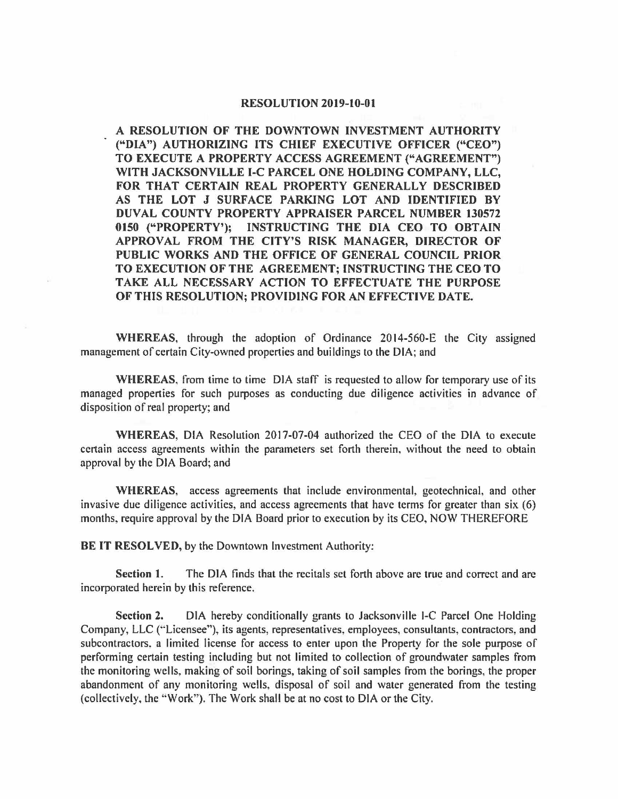## **RESOLUTION 2019-10-01**

**A RESOLUTION OF THE DOWNTOWN INVESTMENT AUTHORITY ("DIA") AUTHORIZING ITS CHIEF EXECUTIVE OFFICER ("CEO") TO EXECUTE A PROPERTY ACCESS AGREEMENT ("AGREEMENT") WITH JACKSONVILLE 1-C PARCEL ONE HOLDING COMPANY, LLC, FOR THAT CERTAIN REAL PROPERTY GENERALLY DESCRIBED AS THE LOT J SURFACE PARKING LOT AND IDENTIFIED BY DUVAL COUNTY PROPERTY APPRAISER PARCEL NUMBER 130572 0150 ("PROPERTY'); INSTRUCTING THE DIA CEO TO OBTAIN APPROVAL FROM THE CITY'S RISK MANAGER, DIRECTOR OF PUBLIC WORKS AND THE OFFICE OF GENERAL COUNCIL PRIOR TO EXECUTION OF THE AGREEMENT; INSTRUCTING** THE **CEO TO TAKE ALL NECESSARY ACTION TO EFFECTUATE THE PURPOSE OF THIS RESOLUTION; PROVIDING FOR AN EFFECTIVE DATE.** 

**WHEREAS,** through the adoption of Ordinance 2014-560-E the City assigned management of certain City-owned properties and buildings to the DIA; and

**WHEREAS,** from time to time DIA staff is requested to allow for temporary use of its managed properties for such purposes as conducting due diligence activities in advance of disposition of real property; and

**WHEREAS,** DIA Resolution 2017-07-04 authorized the CEO of the DIA to execute certain access agreements within the parameters set forth therein. without the need to obtain approval by the DIA Board; and

**WHEREAS,** access agreements that include environmental, geotechnical, and other invasive due diligence activities, and access agreements that have terms for greater than six (6) months, require approval by the DIA Board prior to execution by its CEO, NOW THEREFORE

**BE IT RESOLVED,** by the Downtown Investment Authority:

**Section 1.** The DIA finds that the recitals set forth above are true and correct and are incorporated herein by this reference.

**Section 2.** DIA hereby conditionally grants to Jacksonville 1-C Parcel One Holding Company, LLC ("Licensee"), its agents, representatives, employees, consultants, contractors, and subcontractors. a limited license for access to enter upon the Property for the sole purpose of performing certain testing including but not limited to collection of groundwater samples from the monitoring wells, making of soil borings, taking of soil samples from the borings, the proper abandonment of any monitoring wells, disposal of soil and water generated from the testing (collectively, the '·Work"). The Work shall be at no cost to DIA or the City.